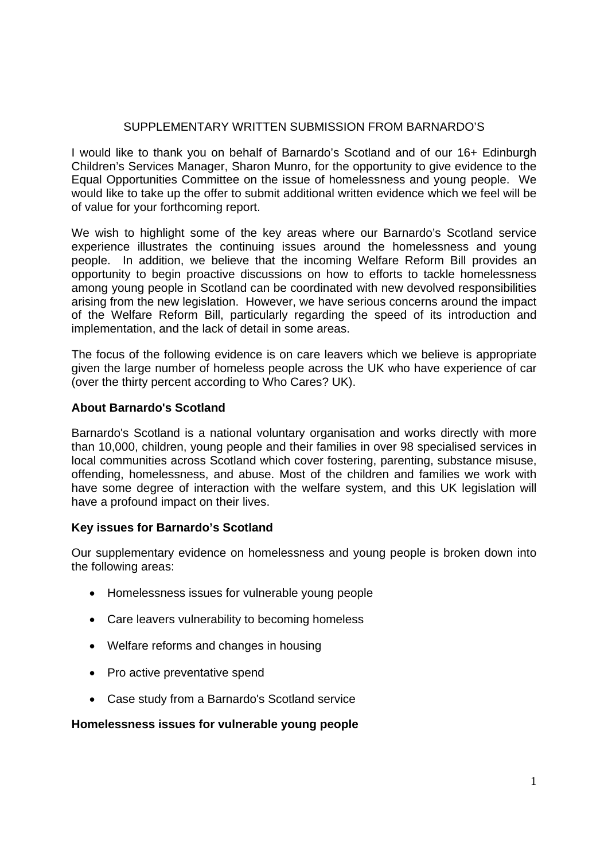# SUPPLEMENTARY WRITTEN SUBMISSION FROM BARNARDO'S

I would like to thank you on behalf of Barnardo's Scotland and of our 16+ Edinburgh Children's Services Manager, Sharon Munro, for the opportunity to give evidence to the Equal Opportunities Committee on the issue of homelessness and young people. We would like to take up the offer to submit additional written evidence which we feel will be of value for your forthcoming report.

We wish to highlight some of the key areas where our Barnardo's Scotland service experience illustrates the continuing issues around the homelessness and young people. In addition, we believe that the incoming Welfare Reform Bill provides an opportunity to begin proactive discussions on how to efforts to tackle homelessness among young people in Scotland can be coordinated with new devolved responsibilities arising from the new legislation. However, we have serious concerns around the impact of the Welfare Reform Bill, particularly regarding the speed of its introduction and implementation, and the lack of detail in some areas.

The focus of the following evidence is on care leavers which we believe is appropriate given the large number of homeless people across the UK who have experience of car (over the thirty percent according to Who Cares? UK).

# **About Barnardo's Scotland**

Barnardo's Scotland is a national voluntary organisation and works directly with more than 10,000, children, young people and their families in over 98 specialised services in local communities across Scotland which cover fostering, parenting, substance misuse, offending, homelessness, and abuse. Most of the children and families we work with have some degree of interaction with the welfare system, and this UK legislation will have a profound impact on their lives.

# **Key issues for Barnardo's Scotland**

Our supplementary evidence on homelessness and young people is broken down into the following areas:

- Homelessness issues for vulnerable young people
- Care leavers vulnerability to becoming homeless
- Welfare reforms and changes in housing
- Pro active preventative spend
- Case study from a Barnardo's Scotland service

#### **Homelessness issues for vulnerable young people**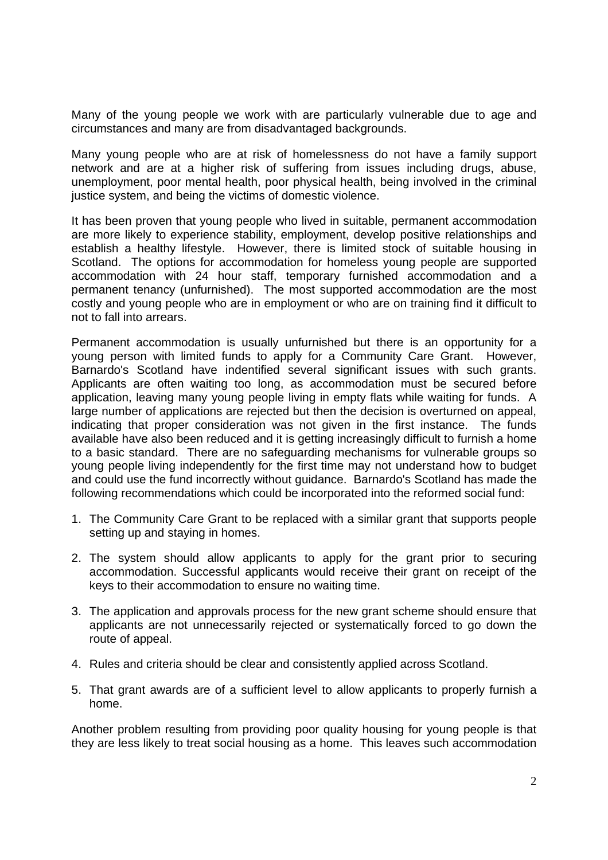Many of the young people we work with are particularly vulnerable due to age and circumstances and many are from disadvantaged backgrounds.

Many young people who are at risk of homelessness do not have a family support network and are at a higher risk of suffering from issues including drugs, abuse, unemployment, poor mental health, poor physical health, being involved in the criminal justice system, and being the victims of domestic violence.

It has been proven that young people who lived in suitable, permanent accommodation are more likely to experience stability, employment, develop positive relationships and establish a healthy lifestyle. However, there is limited stock of suitable housing in Scotland. The options for accommodation for homeless young people are supported accommodation with 24 hour staff, temporary furnished accommodation and a permanent tenancy (unfurnished). The most supported accommodation are the most costly and young people who are in employment or who are on training find it difficult to not to fall into arrears.

Permanent accommodation is usually unfurnished but there is an opportunity for a young person with limited funds to apply for a Community Care Grant. However, Barnardo's Scotland have indentified several significant issues with such grants. Applicants are often waiting too long, as accommodation must be secured before application, leaving many young people living in empty flats while waiting for funds. A large number of applications are rejected but then the decision is overturned on appeal, indicating that proper consideration was not given in the first instance. The funds available have also been reduced and it is getting increasingly difficult to furnish a home to a basic standard. There are no safeguarding mechanisms for vulnerable groups so young people living independently for the first time may not understand how to budget and could use the fund incorrectly without guidance. Barnardo's Scotland has made the following recommendations which could be incorporated into the reformed social fund:

- 1. The Community Care Grant to be replaced with a similar grant that supports people setting up and staying in homes.
- 2. The system should allow applicants to apply for the grant prior to securing accommodation. Successful applicants would receive their grant on receipt of the keys to their accommodation to ensure no waiting time.
- 3. The application and approvals process for the new grant scheme should ensure that applicants are not unnecessarily rejected or systematically forced to go down the route of appeal.
- 4. Rules and criteria should be clear and consistently applied across Scotland.
- 5. That grant awards are of a sufficient level to allow applicants to properly furnish a home.

Another problem resulting from providing poor quality housing for young people is that they are less likely to treat social housing as a home. This leaves such accommodation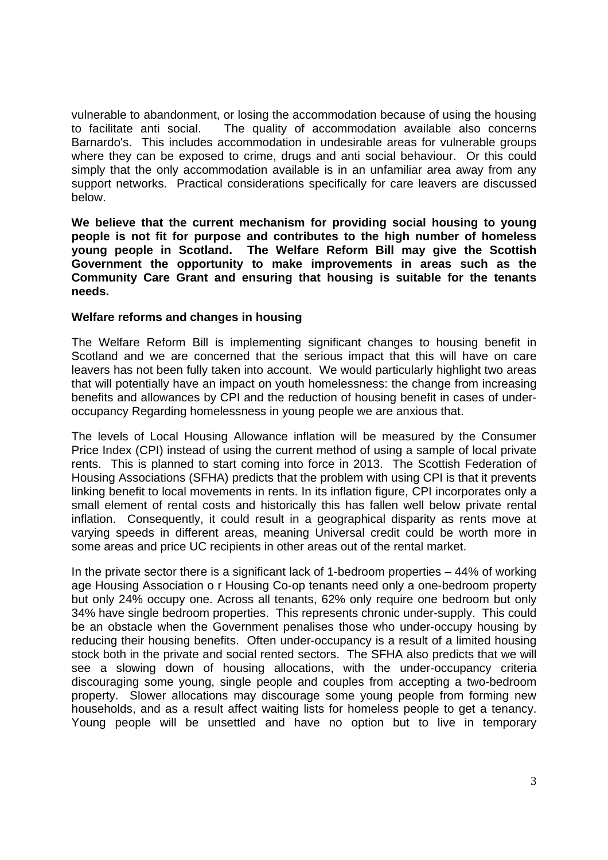vulnerable to abandonment, or losing the accommodation because of using the housing to facilitate anti social. The quality of accommodation available also concerns Barnardo's. This includes accommodation in undesirable areas for vulnerable groups where they can be exposed to crime, drugs and anti social behaviour. Or this could simply that the only accommodation available is in an unfamiliar area away from any support networks. Practical considerations specifically for care leavers are discussed below.

**We believe that the current mechanism for providing social housing to young people is not fit for purpose and contributes to the high number of homeless young people in Scotland. The Welfare Reform Bill may give the Scottish Government the opportunity to make improvements in areas such as the Community Care Grant and ensuring that housing is suitable for the tenants needs.** 

## **Welfare reforms and changes in housing**

The Welfare Reform Bill is implementing significant changes to housing benefit in Scotland and we are concerned that the serious impact that this will have on care leavers has not been fully taken into account. We would particularly highlight two areas that will potentially have an impact on youth homelessness: the change from increasing benefits and allowances by CPI and the reduction of housing benefit in cases of underoccupancy Regarding homelessness in young people we are anxious that.

The levels of Local Housing Allowance inflation will be measured by the Consumer Price Index (CPI) instead of using the current method of using a sample of local private rents. This is planned to start coming into force in 2013. The Scottish Federation of Housing Associations (SFHA) predicts that the problem with using CPI is that it prevents linking benefit to local movements in rents. In its inflation figure, CPI incorporates only a small element of rental costs and historically this has fallen well below private rental inflation. Consequently, it could result in a geographical disparity as rents move at varying speeds in different areas, meaning Universal credit could be worth more in some areas and price UC recipients in other areas out of the rental market.

In the private sector there is a significant lack of 1-bedroom properties  $-44%$  of working age Housing Association o r Housing Co-op tenants need only a one-bedroom property but only 24% occupy one. Across all tenants, 62% only require one bedroom but only 34% have single bedroom properties. This represents chronic under-supply. This could be an obstacle when the Government penalises those who under-occupy housing by reducing their housing benefits. Often under-occupancy is a result of a limited housing stock both in the private and social rented sectors. The SFHA also predicts that we will see a slowing down of housing allocations, with the under-occupancy criteria discouraging some young, single people and couples from accepting a two-bedroom property. Slower allocations may discourage some young people from forming new households, and as a result affect waiting lists for homeless people to get a tenancy. Young people will be unsettled and have no option but to live in temporary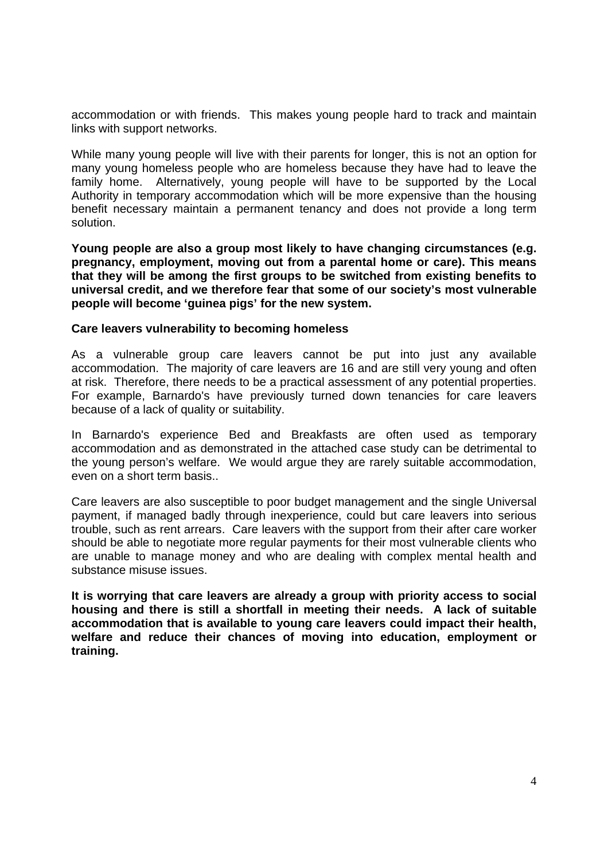accommodation or with friends. This makes young people hard to track and maintain links with support networks.

While many young people will live with their parents for longer, this is not an option for many young homeless people who are homeless because they have had to leave the family home. Alternatively, young people will have to be supported by the Local Authority in temporary accommodation which will be more expensive than the housing benefit necessary maintain a permanent tenancy and does not provide a long term solution.

**Young people are also a group most likely to have changing circumstances (e.g. pregnancy, employment, moving out from a parental home or care). This means that they will be among the first groups to be switched from existing benefits to universal credit, and we therefore fear that some of our society's most vulnerable people will become 'guinea pigs' for the new system.** 

#### **Care leavers vulnerability to becoming homeless**

As a vulnerable group care leavers cannot be put into just any available accommodation. The majority of care leavers are 16 and are still very young and often at risk. Therefore, there needs to be a practical assessment of any potential properties. For example, Barnardo's have previously turned down tenancies for care leavers because of a lack of quality or suitability.

In Barnardo's experience Bed and Breakfasts are often used as temporary accommodation and as demonstrated in the attached case study can be detrimental to the young person's welfare. We would argue they are rarely suitable accommodation, even on a short term basis..

Care leavers are also susceptible to poor budget management and the single Universal payment, if managed badly through inexperience, could but care leavers into serious trouble, such as rent arrears. Care leavers with the support from their after care worker should be able to negotiate more regular payments for their most vulnerable clients who are unable to manage money and who are dealing with complex mental health and substance misuse issues.

**It is worrying that care leavers are already a group with priority access to social housing and there is still a shortfall in meeting their needs. A lack of suitable accommodation that is available to young care leavers could impact their health, welfare and reduce their chances of moving into education, employment or training.**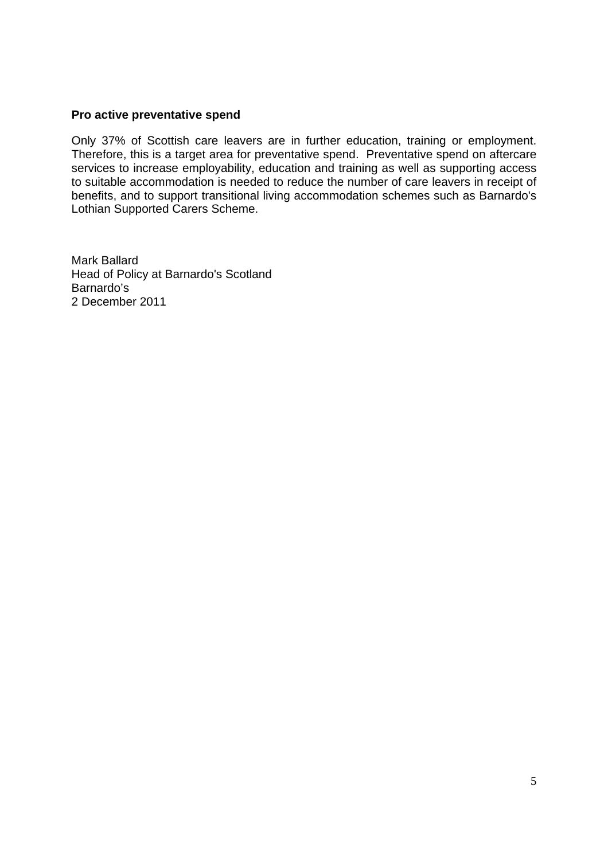### **Pro active preventative spend**

Only 37% of Scottish care leavers are in further education, training or employment. Therefore, this is a target area for preventative spend. Preventative spend on aftercare services to increase employability, education and training as well as supporting access to suitable accommodation is needed to reduce the number of care leavers in receipt of benefits, and to support transitional living accommodation schemes such as Barnardo's Lothian Supported Carers Scheme.

Mark Ballard Head of Policy at Barnardo's Scotland Barnardo's 2 December 2011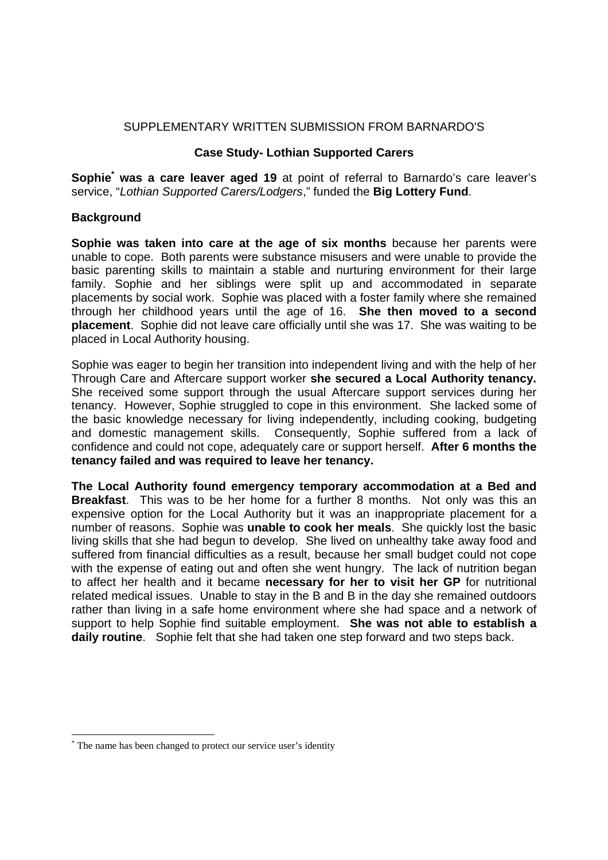## SUPPLEMENTARY WRITTEN SUBMISSION FROM BARNARDO'S

### **Case Study- Lothian Supported Carers**

Sophie<sup>\*</sup> was a care leaver aged 19 at point of referral to Barnardo's care leaver's service, "*Lothian Supported Carers/Lodgers*," funded the **Big Lottery Fund**.

# **Background**

**Sophie was taken into care at the age of six months** because her parents were unable to cope. Both parents were substance misusers and were unable to provide the basic parenting skills to maintain a stable and nurturing environment for their large family. Sophie and her siblings were split up and accommodated in separate placements by social work. Sophie was placed with a foster family where she remained through her childhood years until the age of 16. **She then moved to a second placement**. Sophie did not leave care officially until she was 17. She was waiting to be placed in Local Authority housing.

Sophie was eager to begin her transition into independent living and with the help of her Through Care and Aftercare support worker **she secured a Local Authority tenancy.** She received some support through the usual Aftercare support services during her tenancy. However, Sophie struggled to cope in this environment. She lacked some of the basic knowledge necessary for living independently, including cooking, budgeting and domestic management skills. Consequently, Sophie suffered from a lack of confidence and could not cope, adequately care or support herself. **After 6 months the tenancy failed and was required to leave her tenancy.**

**The Local Authority found emergency temporary accommodation at a Bed and Breakfast**. This was to be her home for a further 8 months. Not only was this an expensive option for the Local Authority but it was an inappropriate placement for a number of reasons. Sophie was **unable to cook her meals**. She quickly lost the basic living skills that she had begun to develop. She lived on unhealthy take away food and suffered from financial difficulties as a result, because her small budget could not cope with the expense of eating out and often she went hungry. The lack of nutrition began to affect her health and it became **necessary for her to visit her GP** for nutritional related medical issues. Unable to stay in the B and B in the day she remained outdoors rather than living in a safe home environment where she had space and a network of support to help Sophie find suitable employment. **She was not able to establish a daily routine**. Sophie felt that she had taken one step forward and two steps back.

1

<sup>\*</sup> The name has been changed to protect our service user's identity